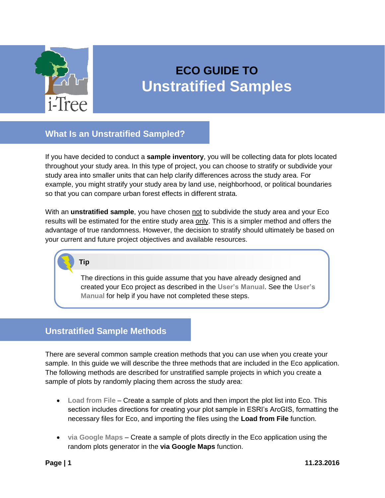

# **ECO GUIDE TO Unstratified Samples**

## **What Is an Unstratified Sampled?**

If you have decided to conduct a **sample inventory**, you will be collecting data for plots located throughout your study area. In this type of project, you can choose to stratify or subdivide your study area into smaller units that can help clarify differences across the study area. For example, you might stratify your study area by land use, neighborhood, or political boundaries so that you can compare urban forest effects in different strata.

With an **unstratified sample**, you have chosen not to subdivide the study area and your Eco results will be estimated for the entire study area only. This is a simpler method and offers the advantage of true randomness. However, the decision to stratify should ultimately be based on your current and future project objectives and available resources.

### **Tip**

The directions in this guide assume that you have already designed and created your Eco project as described in the **[User's Manual](https://www.itreetools.org/resources/manuals/Ecov6_ManualsGuides/Ecov6_UsersManual.pdf)**. See the **[User's](https://www.itreetools.org/resources/manuals/Ecov6_ManualsGuides/Ecov6_UsersManual.pdf)  [Manual](https://www.itreetools.org/resources/manuals/Ecov6_ManualsGuides/Ecov6_UsersManual.pdf)** for help if you have not completed these steps.

# **Unstratified Sample Methods**

There are several common sample creation methods that you can use when you create your sample. In this guide we will describe the three methods that are included in the Eco application. The following methods are described for unstratified sample projects in which you create a sample of plots by randomly placing them across the study area:

- **[Load from File](#page-1-0)** Create a sample of plots and then import the plot list into Eco. This section includes directions for creating your plot sample in ESRI's ArcGIS, formatting the necessary files for Eco, and importing the files using the **Load from File** function.
- **[via Google Maps](#page-12-0)** Create a sample of plots directly in the Eco application using the random plots generator in the **via Google Maps** function.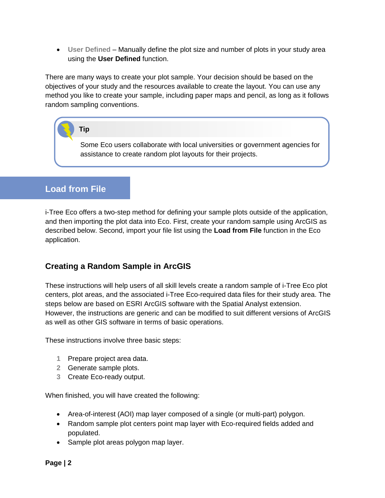**[User Defined](#page-15-0)** – Manually define the plot size and number of plots in your study area using the **User Defined** function.

There are many ways to create your plot sample. Your decision should be based on the objectives of your study and the resources available to create the layout. You can use any method you like to create your sample, including paper maps and pencil, as long as it follows random sampling conventions.

## **Tip**

Some Eco users collaborate with local universities or government agencies for assistance to create random plot layouts for their projects.

# <span id="page-1-0"></span>**Load from File**

i-Tree Eco offers a two-step method for defining your sample plots outside of the application, and then importing the plot data into Eco. First, create your random sample using ArcGIS as described below. Second, import your file list using the **Load from File** function in the Eco application.

### **Creating a Random Sample in ArcGIS**

These instructions will help users of all skill levels create a random sample of i-Tree Eco plot centers, plot areas, and the associated i-Tree Eco-required data files for their study area. The steps below are based on ESRI ArcGIS software with the Spatial Analyst extension. However, the instructions are generic and can be modified to suit different versions of ArcGIS as well as other GIS software in terms of basic operations.

These instructions involve three basic steps:

- **1** Prepare project area data.
- **2** Generate sample plots.
- **3** Create Eco-ready output.

When finished, you will have created the following:

- Area-of-interest (AOI) map layer composed of a single (or multi-part) polygon.
- Random sample plot centers point map layer with Eco-required fields added and populated.
- Sample plot areas polygon map layer.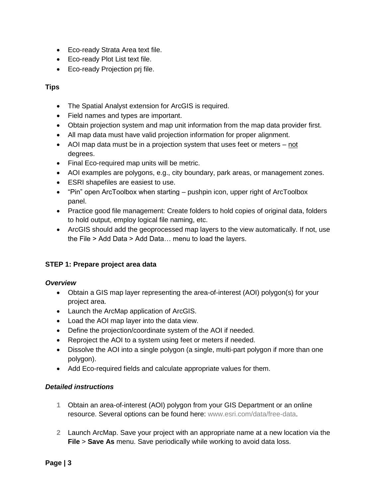- Eco-ready Strata Area text file.
- Eco-ready Plot List text file.
- Eco-ready Projection prj file.

#### **Tips**

- The Spatial Analyst extension for ArcGIS is required.
- Field names and types are important.
- Obtain projection system and map unit information from the map data provider first.
- All map data must have valid projection information for proper alignment.
- AOI map data must be in a projection system that uses feet or meters not degrees.
- Final Eco-required map units will be metric.
- AOI examples are polygons, e.g., city boundary, park areas, or management zones.
- ESRI shapefiles are easiest to use.
- "Pin" open ArcToolbox when starting pushpin icon, upper right of ArcToolbox panel.
- Practice good file management: Create folders to hold copies of original data, folders to hold output, employ logical file naming, etc.
- ArcGIS should add the geoprocessed map layers to the view automatically. If not, use the File > Add Data > Add Data… menu to load the layers.

#### **STEP 1: Prepare project area data**

#### *Overview*

- Obtain a GIS map layer representing the area-of-interest (AOI) polygon(s) for your project area.
- Launch the ArcMap application of ArcGIS.
- Load the AOI map layer into the data view.
- Define the projection/coordinate system of the AOI if needed.
- Reproject the AOI to a system using feet or meters if needed.
- Dissolve the AOI into a single polygon (a single, multi-part polygon if more than one polygon).
- Add Eco-required fields and calculate appropriate values for them.

#### *Detailed instructions*

- **1** Obtain an area-of-interest (AOI) polygon from your GIS Department or an online resource. Several options can be found here: [www.esri.com/data/free-data.](http://www.esri.com/data/free-data)
- **2** Launch ArcMap. Save your project with an appropriate name at a new location via the **File** > **Save As** menu. Save periodically while working to avoid data loss.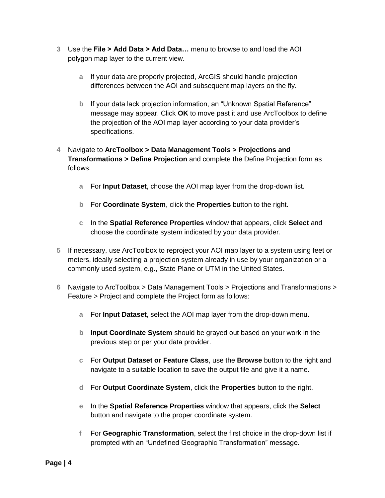- **3** Use the **File > Add Data > Add Data…** menu to browse to and load the AOI polygon map layer to the current view.
	- **a** If your data are properly projected, ArcGIS should handle projection differences between the AOI and subsequent map layers on the fly.
	- **b** If your data lack projection information, an "Unknown Spatial Reference" message may appear. Click **OK** to move past it and use ArcToolbox to define the projection of the AOI map layer according to your data provider's specifications.
- **4** Navigate to **ArcToolbox > Data Management Tools > Projections and Transformations > Define Projection** and complete the Define Projection form as follows:
	- **a** For **Input Dataset**, choose the AOI map layer from the drop-down list.
	- **b** For **Coordinate System**, click the **Properties** button to the right.
	- **c** In the **Spatial Reference Properties** window that appears, click **Select** and choose the coordinate system indicated by your data provider.
- **5** If necessary, use ArcToolbox to reproject your AOI map layer to a system using feet or meters, ideally selecting a projection system already in use by your organization or a commonly used system, e.g., State Plane or UTM in the United States.
- **6** Navigate to ArcToolbox > Data Management Tools > Projections and Transformations > Feature > Project and complete the Project form as follows:
	- **a** For **Input Dataset**, select the AOI map layer from the drop-down menu.
	- **b Input Coordinate System** should be grayed out based on your work in the previous step or per your data provider.
	- **c** For **Output Dataset or Feature Class**, use the **Browse** button to the right and navigate to a suitable location to save the output file and give it a name.
	- **d** For **Output Coordinate System**, click the **Properties** button to the right.
	- **e** In the **Spatial Reference Properties** window that appears, click the **Select** button and navigate to the proper coordinate system.
	- **f** For **Geographic Transformation**, select the first choice in the drop-down list if prompted with an "Undefined Geographic Transformation" message.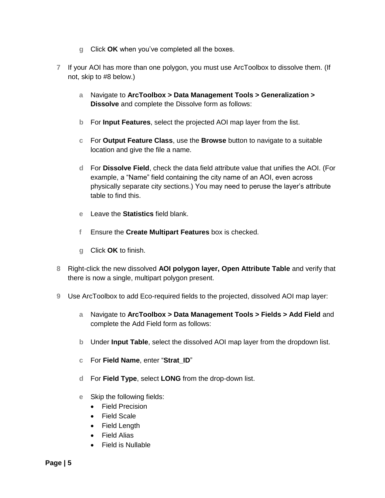- **g** Click **OK** when you've completed all the boxes.
- **7** If your AOI has more than one polygon, you must use ArcToolbox to dissolve them. (If not, skip to #8 below.)
	- **a** Navigate to **ArcToolbox > Data Management Tools > Generalization > Dissolve** and complete the Dissolve form as follows:
	- **b** For **Input Features**, select the projected AOI map layer from the list.
	- **c** For **Output Feature Class**, use the **Browse** button to navigate to a suitable location and give the file a name.
	- **d** For **Dissolve Field**, check the data field attribute value that unifies the AOI. (For example, a "Name" field containing the city name of an AOI, even across physically separate city sections.) You may need to peruse the layer's attribute table to find this.
	- **e** Leave the **Statistics** field blank.
	- **f** Ensure the **Create Multipart Features** box is checked.
	- **g** Click **OK** to finish.
- **8** Right-click the new dissolved **AOI polygon layer, Open Attribute Table** and verify that there is now a single, multipart polygon present.
- **9** Use ArcToolbox to add Eco-required fields to the projected, dissolved AOI map layer:
	- **a** Navigate to **ArcToolbox > Data Management Tools > Fields > Add Field** and complete the Add Field form as follows:
	- **b** Under **Input Table**, select the dissolved AOI map layer from the dropdown list.
	- **c** For **Field Name**, enter "**Strat\_ID**"
	- **d** For **Field Type**, select **LONG** from the drop-down list.
	- **e** Skip the following fields:
		- Field Precision
		- Field Scale
		- Field Length
		- Field Alias
		- Field is Nullable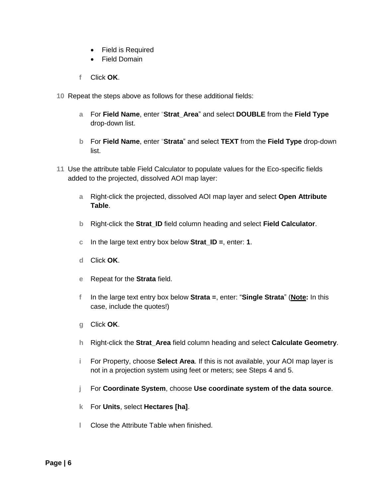- Field is Required
- Field Domain
- **f** Click **OK**.
- **10** Repeat the steps above as follows for these additional fields:
	- **a** For **Field Name**, enter "**Strat\_Area**" and select **DOUBLE** from the **Field Type** drop-down list.
	- **b** For **Field Name**, enter "**Strata**" and select **TEXT** from the **Field Type** drop-down list.
- **11** Use the attribute table Field Calculator to populate values for the Eco-specific fields added to the projected, dissolved AOI map layer:
	- **a** Right-click the projected, dissolved AOI map layer and select **Open Attribute Table**.
	- **b** Right-click the **Strat\_ID** field column heading and select **Field Calculator**.
	- **c** In the large text entry box below **Strat\_ID =**, enter: **1**.
	- **d** Click **OK**.
	- **e** Repeat for the **Strata** field.
	- **f** In the large text entry box below **Strata =**, enter: "**Single Strata**" (**Note:** In this case, include the quotes!)
	- **g** Click **OK**.
	- **h** Right-click the **Strat\_Area** field column heading and select **Calculate Geometry**.
	- **i** For Property, choose **Select Area**. If this is not available, your AOI map layer is not in a projection system using feet or meters; see Steps 4 and 5.
	- **j** For **Coordinate System**, choose **Use coordinate system of the data source**.
	- **k** For **Units**, select **Hectares [ha]**.
	- **l** Close the Attribute Table when finished.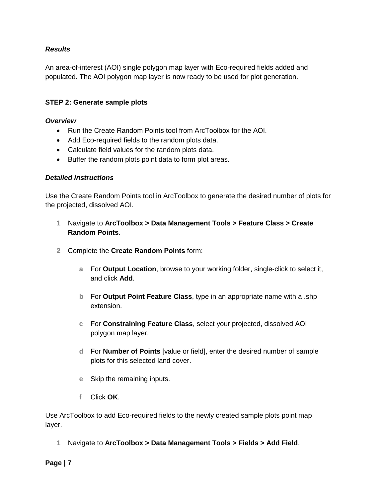#### *Results*

An area-of-interest (AOI) single polygon map layer with Eco-required fields added and populated. The AOI polygon map layer is now ready to be used for plot generation.

#### **STEP 2: Generate sample plots**

#### *Overview*

- Run the Create Random Points tool from ArcToolbox for the AOI.
- Add Eco-required fields to the random plots data.
- Calculate field values for the random plots data.
- Buffer the random plots point data to form plot areas.

#### *Detailed instructions*

Use the Create Random Points tool in ArcToolbox to generate the desired number of plots for the projected, dissolved AOI.

- **1** Navigate to **ArcToolbox > Data Management Tools > Feature Class > Create Random Points**.
- **2** Complete the **Create Random Points** form:
	- **a** For **Output Location**, browse to your working folder, single-click to select it, and click **Add**.
	- **b** For **Output Point Feature Class**, type in an appropriate name with a .shp extension.
	- **c** For **Constraining Feature Class**, select your projected, dissolved AOI polygon map layer.
	- **d** For **Number of Points** [value or field], enter the desired number of sample plots for this selected land cover.
	- **e** Skip the remaining inputs.
	- **f** Click **OK**.

Use ArcToolbox to add Eco-required fields to the newly created sample plots point map layer.

**1** Navigate to **ArcToolbox > Data Management Tools > Fields > Add Field**.

**Page | 7**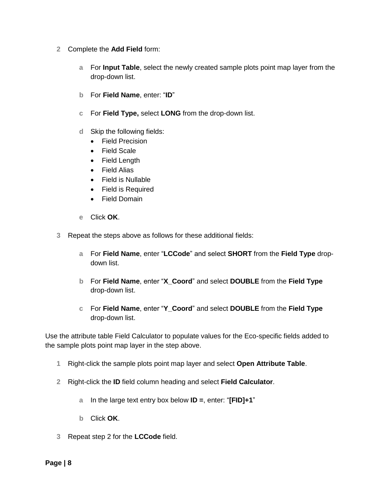- **2** Complete the **Add Field** form:
	- **a** For **Input Table**, select the newly created sample plots point map layer from the drop-down list.
	- **b** For **Field Name**, enter: "**ID**"
	- **c** For **Field Type,** select **LONG** from the drop-down list.
	- **d** Skip the following fields:
		- Field Precision
		- Field Scale
		- Field Length
		- Field Alias
		- Field is Nullable
		- Field is Required
		- Field Domain
	- **e** Click **OK**.
- **3** Repeat the steps above as follows for these additional fields:
	- **a** For **Field Name**, enter "**LCCode**" and select **SHORT** from the **Field Type** dropdown list.
	- **b** For **Field Name**, enter "**X\_Coord**" and select **DOUBLE** from the **Field Type** drop-down list.
	- **c** For **Field Name**, enter "**Y\_Coord**" and select **DOUBLE** from the **Field Type** drop-down list.

Use the attribute table Field Calculator to populate values for the Eco-specific fields added to the sample plots point map layer in the step above.

- **1** Right-click the sample plots point map layer and select **Open Attribute Table**.
- **2** Right-click the **ID** field column heading and select **Field Calculator**.
	- **a** In the large text entry box below **ID =**, enter: "**[FID]+1**"
	- **b** Click **OK**.
- **3** Repeat step 2 for the **LCCode** field.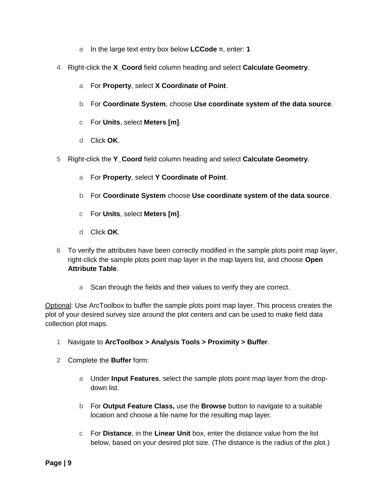- **a** In the large text entry box below **LCCode =**, enter: **1**
- **4** Right-click the **X\_Coord** field column heading and select **Calculate Geometry**.
	- **a** For **Property**, select **X Coordinate of Point**.
	- **b** For **Coordinate System**, choose **Use coordinate system of the data source**.
	- **c** For **Units**, select **Meters [m]**.
	- **d** Click **OK**.
- **5** Right-click the **Y\_Coord** field column heading and select **Calculate Geometry**.
	- **a** For **Property**, select **Y Coordinate of Point**.
	- **b** For **Coordinate System** choose **Use coordinate system of the data source**.
	- **c** For **Units**, select **Meters [m]**.
	- **d** Click **OK**.
- **6** To verify the attributes have been correctly modified in the sample plots point map layer, right-click the sample plots point map layer in the map layers list, and choose **Open Attribute Table**.
	- **a** Scan through the fields and their values to verify they are correct.

Optional: Use ArcToolbox to buffer the sample plots point map layer. This process creates the plot of your desired survey size around the plot centers and can be used to make field data collection plot maps.

- **1** Navigate to **ArcToolbox > Analysis Tools > Proximity > Buffer**.
- **2** Complete the **Buffer** form:
	- **a** Under **Input Features**, select the sample plots point map layer from the dropdown list.
	- **b** For **Output Feature Class,** use the **Browse** button to navigate to a suitable location and choose a file name for the resulting map layer.
	- **c** For **Distance**, in the **Linear Unit** box, enter the distance value from the list below, based on your desired plot size. (The distance is the radius of the plot.)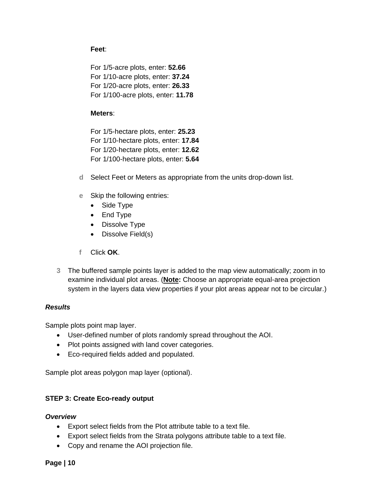#### **Feet**:

For 1/5-acre plots, enter: **52.66** For 1/10-acre plots, enter: **37.24** For 1/20-acre plots, enter: **26.33** For 1/100-acre plots, enter: **11.78**

#### **Meters**:

For 1/5-hectare plots, enter: **25.23** For 1/10-hectare plots, enter: **17.84** For 1/20-hectare plots, enter: **12.62** For 1/100-hectare plots, enter: **5.64**

- **d** Select Feet or Meters as appropriate from the units drop-down list.
- **e** Skip the following entries:
	- Side Type
	- End Type
	- Dissolve Type
	- Dissolve Field(s)
- **f** Click **OK**.
- **3** The buffered sample points layer is added to the map view automatically; zoom in to examine individual plot areas. (**Note:** Choose an appropriate equal-area projection system in the layers data view properties if your plot areas appear not to be circular.)

#### *Results*

Sample plots point map layer.

- User-defined number of plots randomly spread throughout the AOI.
- Plot points assigned with land cover categories.
- Eco-required fields added and populated.

Sample plot areas polygon map layer (optional).

#### **STEP 3: Create Eco-ready output**

#### *Overview*

- Export select fields from the Plot attribute table to a text file.
- Export select fields from the Strata polygons attribute table to a text file.
- Copy and rename the AOI projection file.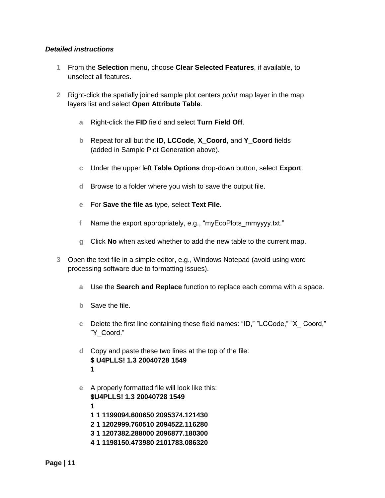#### *Detailed instructions*

- **1** From the **Selection** menu, choose **Clear Selected Features**, if available, to unselect all features.
- **2** Right-click the spatially joined sample plot centers *point* map layer in the map layers list and select **Open Attribute Table**.
	- **a** Right-click the **FID** field and select **Turn Field Off**.
	- **b** Repeat for all but the **ID**, **LCCode**, **X\_Coord**, and **Y\_Coord** fields (added in Sample Plot Generation above).
	- **c** Under the upper left **Table Options** drop-down button, select **Export**.
	- **d** Browse to a folder where you wish to save the output file.
	- **e** For **Save the file as** type, select **Text File**.
	- **f** Name the export appropriately, e.g., "myEcoPlots\_mmyyyy.txt."
	- **g** Click **No** when asked whether to add the new table to the current map.
- **3** Open the text file in a simple editor, e.g., Windows Notepad (avoid using word processing software due to formatting issues).
	- **a** Use the **Search and Replace** function to replace each comma with a space.
	- **b** Save the file.
	- **c** Delete the first line containing these field names: "ID," "LCCode," "X\_ Coord," "Y\_Coord."
	- **d** Copy and paste these two lines at the top of the file: **\$ U4PLLS! 1.3 20040728 1549 1**
	- **e** A properly formatted file will look like this: **\$U4PLLS! 1.3 20040728 1549 1 1 1 1199094.600650 2095374.121430 2 1 1202999.760510 2094522.116280 3 1 1207382.288000 2096877.180300 4 1 1198150.473980 2101783.086320**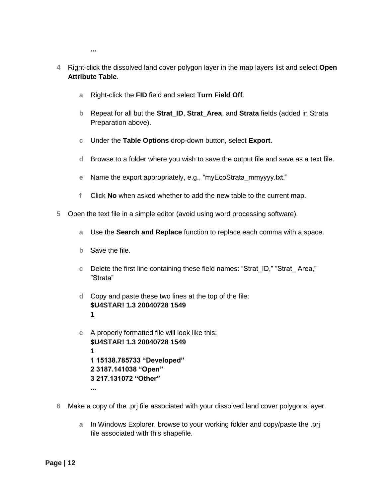**...** 

- **4** Right-click the dissolved land cover polygon layer in the map layers list and select **Open Attribute Table**.
	- **a** Right-click the **FID** field and select **Turn Field Off**.
	- **b** Repeat for all but the **Strat\_ID**, **Strat\_Area**, and **Strata** fields (added in Strata Preparation above).
	- **c** Under the **Table Options** drop-down button, select **Export**.
	- **d** Browse to a folder where you wish to save the output file and save as a text file.
	- **e** Name the export appropriately, e.g., "myEcoStrata\_mmyyyy.txt."
	- **f** Click **No** when asked whether to add the new table to the current map.
- **5** Open the text file in a simple editor (avoid using word processing software).
	- **a** Use the **Search and Replace** function to replace each comma with a space.
	- **b** Save the file.
	- **c** Delete the first line containing these field names: "Strat\_ID," "Strat\_ Area," "Strata"
	- **d** Copy and paste these two lines at the top of the file: **\$U4STAR! 1.3 20040728 1549 1**
	- **e** A properly formatted file will look like this: **\$U4STAR! 1.3 20040728 1549 1 1 15138.785733 "Developed" 2 3187.141038 "Open" 3 217.131072 "Other" ...**
- **6** Make a copy of the .prj file associated with your dissolved land cover polygons layer.
	- **a** In Windows Explorer, browse to your working folder and copy/paste the .prj file associated with this shapefile.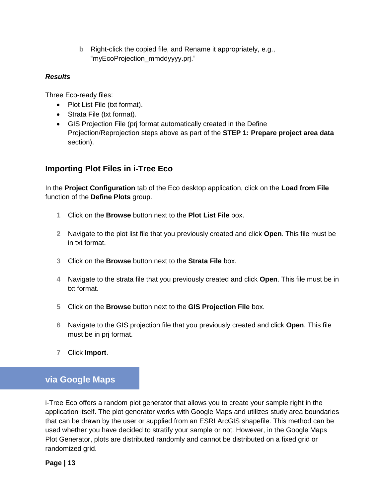**b** Right-click the copied file, and Rename it appropriately, e.g., "myEcoProjection\_mmddyyyy.prj."

#### *Results*

Three Eco-ready files:

- Plot List File (txt format).
- Strata File (txt format).
- GIS Projection File (prj format automatically created in the Define Projection/Reprojection steps above as part of the **STEP 1: Prepare project area data** section).

### **Importing Plot Files in i-Tree Eco**

In the **Project Configuration** tab of the Eco desktop application, click on the **Load from File** function of the **Define Plots** group.

- **1** Click on the **Browse** button next to the **Plot List File** box.
- **2** Navigate to the plot list file that you previously created and click **Open**. This file must be in txt format.
- **3** Click on the **Browse** button next to the **Strata File** box.
- **4** Navigate to the strata file that you previously created and click **Open**. This file must be in txt format.
- **5** Click on the **Browse** button next to the **GIS Projection File** box.
- **6** Navigate to the GIS projection file that you previously created and click **Open**. This file must be in prj format.
- **7** Click **Import**.

### <span id="page-12-0"></span>**via Google Maps**

i-Tree Eco offers a random plot generator that allows you to create your sample right in the application itself. The plot generator works with Google Maps and utilizes study area boundaries that can be drawn by the user or supplied from an ESRI ArcGIS shapefile. This method can be used whether you have decided to stratify your sample or not. However, in the Google Maps Plot Generator, plots are distributed randomly and cannot be distributed on a fixed grid or randomized grid.

**Page | 13**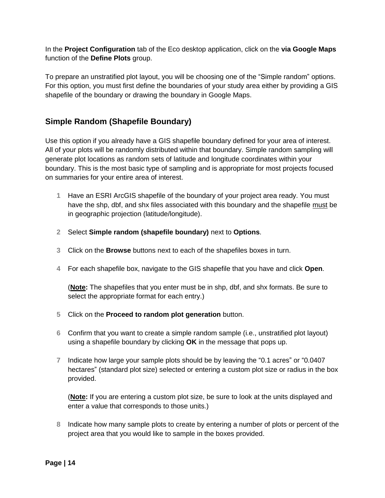In the **Project Configuration** tab of the Eco desktop application, click on the **via Google Maps**  function of the **Define Plots** group.

To prepare an unstratified plot layout, you will be choosing one of the "Simple random" options. For this option, you must first define the boundaries of your study area either by providing a GIS shapefile of the boundary or drawing the boundary in Google Maps.

### **Simple Random (Shapefile Boundary)**

Use this option if you already have a GIS shapefile boundary defined for your area of interest. All of your plots will be randomly distributed within that boundary. Simple random sampling will generate plot locations as random sets of latitude and longitude coordinates within your boundary. This is the most basic type of sampling and is appropriate for most projects focused on summaries for your entire area of interest.

- **1** Have an ESRI ArcGIS shapefile of the boundary of your project area ready. You must have the shp, dbf, and shx files associated with this boundary and the shapefile must be in geographic projection (latitude/longitude).
- **2** Select **Simple random (shapefile boundary)** next to **Options**.
- **3** Click on the **Browse** buttons next to each of the shapefiles boxes in turn.
- **4** For each shapefile box, navigate to the GIS shapefile that you have and click **Open**.

(**Note:** The shapefiles that you enter must be in shp, dbf, and shx formats. Be sure to select the appropriate format for each entry.)

- **5** Click on the **Proceed to random plot generation** button.
- **6** Confirm that you want to create a simple random sample (i.e., unstratified plot layout) using a shapefile boundary by clicking **OK** in the message that pops up.
- **7** Indicate how large your sample plots should be by leaving the "0.1 acres" or "0.0407 hectares" (standard plot size) selected or entering a custom plot size or radius in the box provided.

(**Note:** If you are entering a custom plot size, be sure to look at the units displayed and enter a value that corresponds to those units.)

**8** Indicate how many sample plots to create by entering a number of plots or percent of the project area that you would like to sample in the boxes provided.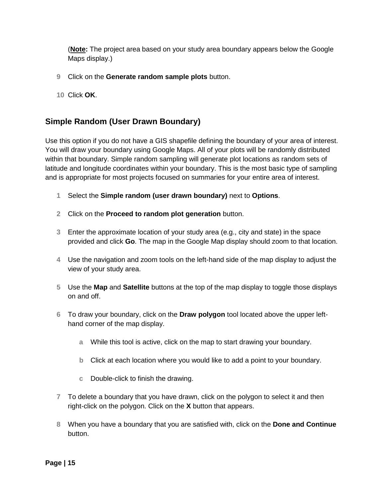(**Note:** The project area based on your study area boundary appears below the Google Maps display.)

- **9** Click on the **Generate random sample plots** button.
- **10** Click **OK**.

### **Simple Random (User Drawn Boundary)**

Use this option if you do not have a GIS shapefile defining the boundary of your area of interest. You will draw your boundary using Google Maps. All of your plots will be randomly distributed within that boundary. Simple random sampling will generate plot locations as random sets of latitude and longitude coordinates within your boundary. This is the most basic type of sampling and is appropriate for most projects focused on summaries for your entire area of interest.

- **1** Select the **Simple random (user drawn boundary)** next to **Options**.
- **2** Click on the **Proceed to random plot generation** button.
- **3** Enter the approximate location of your study area (e.g., city and state) in the space provided and click **Go**. The map in the Google Map display should zoom to that location.
- **4** Use the navigation and zoom tools on the left-hand side of the map display to adjust the view of your study area.
- **5** Use the **Map** and **Satellite** buttons at the top of the map display to toggle those displays on and off.
- **6** To draw your boundary, click on the **Draw polygon** tool located above the upper lefthand corner of the map display.
	- **a** While this tool is active, click on the map to start drawing your boundary.
	- **b** Click at each location where you would like to add a point to your boundary.
	- **c** Double-click to finish the drawing.
- **7** To delete a boundary that you have drawn, click on the polygon to select it and then right-click on the polygon. Click on the **X** button that appears.
- **8** When you have a boundary that you are satisfied with, click on the **Done and Continue** button.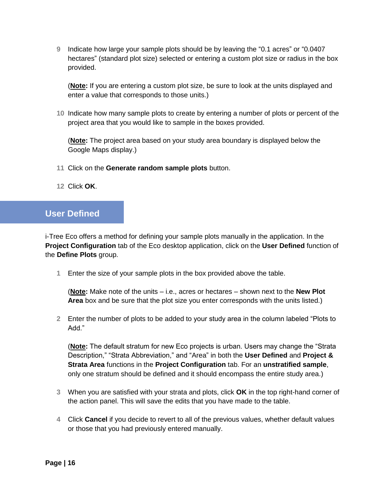**9** Indicate how large your sample plots should be by leaving the "0.1 acres" or "0.0407 hectares" (standard plot size) selected or entering a custom plot size or radius in the box provided.

(**Note:** If you are entering a custom plot size, be sure to look at the units displayed and enter a value that corresponds to those units.)

**10** Indicate how many sample plots to create by entering a number of plots or percent of the project area that you would like to sample in the boxes provided.

(**Note:** The project area based on your study area boundary is displayed below the Google Maps display.)

- **11** Click on the **Generate random sample plots** button.
- **12** Click **OK**.

### <span id="page-15-0"></span>**User Defined**

i-Tree Eco offers a method for defining your sample plots manually in the application. In the **Project Configuration** tab of the Eco desktop application, click on the **User Defined** function of the **Define Plots** group.

**1** Enter the size of your sample plots in the box provided above the table.

(**Note:** Make note of the units – i.e., acres or hectares – shown next to the **New Plot Area** box and be sure that the plot size you enter corresponds with the units listed.)

**2** Enter the number of plots to be added to your study area in the column labeled "Plots to Add."

(**Note:** The default stratum for new Eco projects is urban. Users may change the "Strata Description," "Strata Abbreviation," and "Area" in both the **User Defined** and **Project & Strata Area** functions in the **Project Configuration** tab. For an **unstratified sample**, only one stratum should be defined and it should encompass the entire study area.)

- **3** When you are satisfied with your strata and plots, click **OK** in the top right-hand corner of the action panel. This will save the edits that you have made to the table.
- **4** Click **Cancel** if you decide to revert to all of the previous values, whether default values or those that you had previously entered manually.